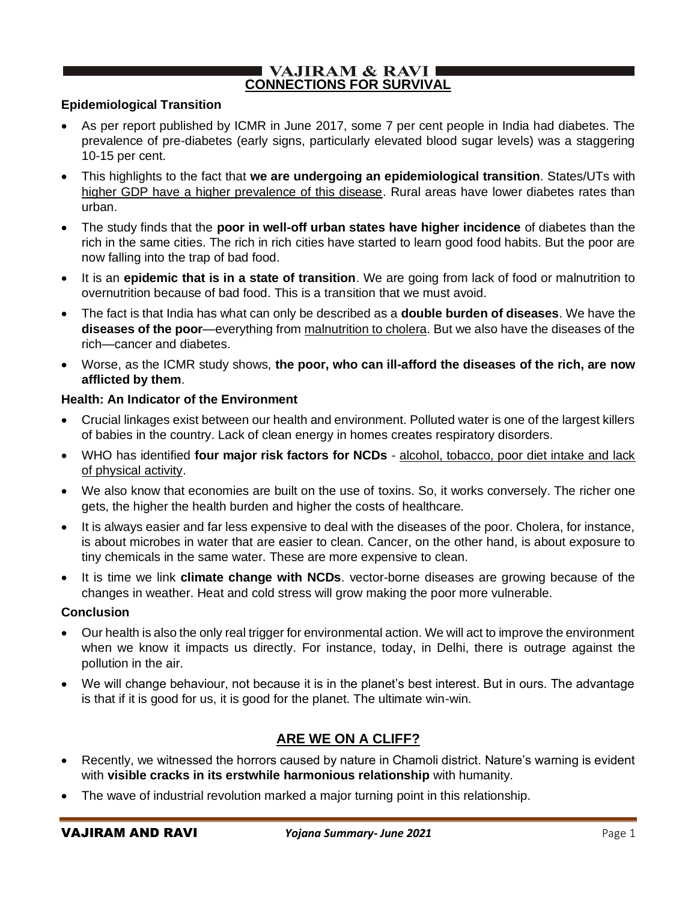### **VAJIRAM & RAVI CONNECTIONS FOR SURVIVAL**

### **Epidemiological Transition**

- As per report published by ICMR in June 2017, some 7 per cent people in India had diabetes. The prevalence of pre-diabetes (early signs, particularly elevated blood sugar levels) was a staggering 10-15 per cent.
- This highlights to the fact that **we are undergoing an epidemiological transition**. States/UTs with higher GDP have a higher prevalence of this disease. Rural areas have lower diabetes rates than urban.
- The study finds that the **poor in well-off urban states have higher incidence** of diabetes than the rich in the same cities. The rich in rich cities have started to learn good food habits. But the poor are now falling into the trap of bad food.
- It is an **epidemic that is in a state of transition**. We are going from lack of food or malnutrition to overnutrition because of bad food. This is a transition that we must avoid.
- The fact is that India has what can only be described as a **double burden of diseases**. We have the **diseases of the poor**—everything from malnutrition to cholera. But we also have the diseases of the rich—cancer and diabetes.
- Worse, as the ICMR study shows, **the poor, who can ill-afford the diseases of the rich, are now afflicted by them**.

#### **Health: An Indicator of the Environment**

- Crucial linkages exist between our health and environment. Polluted water is one of the largest killers of babies in the country. Lack of clean energy in homes creates respiratory disorders.
- WHO has identified **four major risk factors for NCDs** alcohol, tobacco, poor diet intake and lack of physical activity.
- We also know that economies are built on the use of toxins. So, it works conversely. The richer one gets, the higher the health burden and higher the costs of healthcare.
- It is always easier and far less expensive to deal with the diseases of the poor. Cholera, for instance, is about microbes in water that are easier to clean. Cancer, on the other hand, is about exposure to tiny chemicals in the same water. These are more expensive to clean.
- It is time we link **climate change with NCDs**. vector-borne diseases are growing because of the changes in weather. Heat and cold stress will grow making the poor more vulnerable.

#### **Conclusion**

- Our health is also the only real trigger for environmental action. We will act to improve the environment when we know it impacts us directly. For instance, today, in Delhi, there is outrage against the pollution in the air.
- We will change behaviour, not because it is in the planet's best interest. But in ours. The advantage is that if it is good for us, it is good for the planet. The ultimate win-win.

# **ARE WE ON A CLIFF?**

- Recently, we witnessed the horrors caused by nature in Chamoli district. Nature's warning is evident with **visible cracks in its erstwhile harmonious relationship** with humanity.
- The wave of industrial revolution marked a major turning point in this relationship.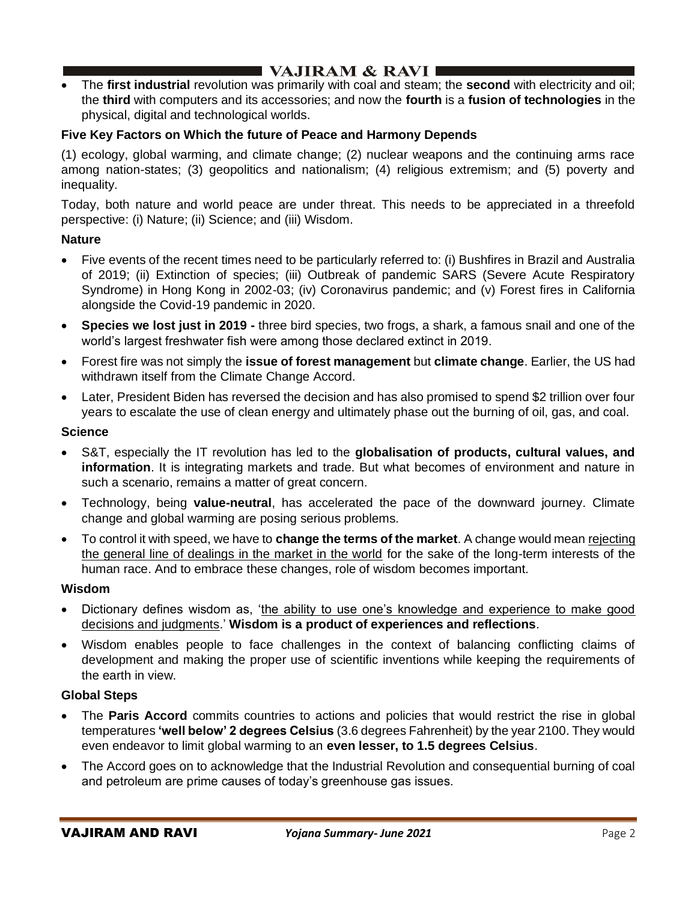• The **first industrial** revolution was primarily with coal and steam; the **second** with electricity and oil; the **third** with computers and its accessories; and now the **fourth** is a **fusion of technologies** in the physical, digital and technological worlds.

### **Five Key Factors on Which the future of Peace and Harmony Depends**

(1) ecology, global warming, and climate change; (2) nuclear weapons and the continuing arms race among nation-states; (3) geopolitics and nationalism; (4) religious extremism; and (5) poverty and inequality.

Today, both nature and world peace are under threat. This needs to be appreciated in a threefold perspective: (i) Nature; (ii) Science; and (iii) Wisdom.

#### **Nature**

- Five events of the recent times need to be particularly referred to: (i) Bushfires in Brazil and Australia of 2019; (ii) Extinction of species; (iii) Outbreak of pandemic SARS (Severe Acute Respiratory Syndrome) in Hong Kong in 2002-03; (iv) Coronavirus pandemic; and (v) Forest fires in California alongside the Covid-19 pandemic in 2020.
- **Species we lost just in 2019 -** three bird species, two frogs, a shark, a famous snail and one of the world's largest freshwater fish were among those declared extinct in 2019.
- Forest fire was not simply the **issue of forest management** but **climate change**. Earlier, the US had withdrawn itself from the Climate Change Accord.
- Later, President Biden has reversed the decision and has also promised to spend \$2 trillion over four years to escalate the use of clean energy and ultimately phase out the burning of oil, gas, and coal.

#### **Science**

- S&T, especially the IT revolution has led to the **globalisation of products, cultural values, and information**. It is integrating markets and trade. But what becomes of environment and nature in such a scenario, remains a matter of great concern.
- Technology, being **value-neutral**, has accelerated the pace of the downward journey. Climate change and global warming are posing serious problems.
- To control it with speed, we have to **change the terms of the market**. A change would mean rejecting the general line of dealings in the market in the world for the sake of the long-term interests of the human race. And to embrace these changes, role of wisdom becomes important.

### **Wisdom**

- Dictionary defines wisdom as, 'the ability to use one's knowledge and experience to make good decisions and judgments.' **Wisdom is a product of experiences and reflections**.
- Wisdom enables people to face challenges in the context of balancing conflicting claims of development and making the proper use of scientific inventions while keeping the requirements of the earth in view.

#### **Global Steps**

- The **Paris Accord** commits countries to actions and policies that would restrict the rise in global temperatures **'well below' 2 degrees Celsius** (3.6 degrees Fahrenheit) by the year 2100. They would even endeavor to limit global warming to an **even lesser, to 1.5 degrees Celsius**.
- The Accord goes on to acknowledge that the Industrial Revolution and consequential burning of coal and petroleum are prime causes of today's greenhouse gas issues.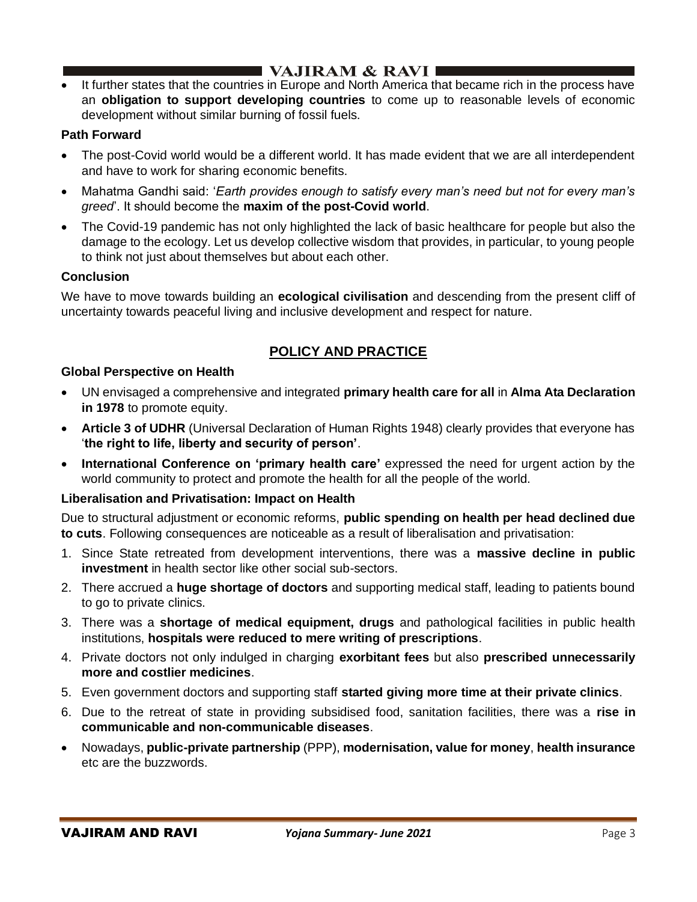# I VAJIRAM  $\&$  RAVI $\blacksquare$

• It further states that the countries in Europe and North America that became rich in the process have an **obligation to support developing countries** to come up to reasonable levels of economic development without similar burning of fossil fuels.

# **Path Forward**

- The post-Covid world would be a different world. It has made evident that we are all interdependent and have to work for sharing economic benefits.
- Mahatma Gandhi said: '*Earth provides enough to satisfy every man's need but not for every man's greed*'. It should become the **maxim of the post-Covid world**.
- The Covid-19 pandemic has not only highlighted the lack of basic healthcare for people but also the damage to the ecology. Let us develop collective wisdom that provides, in particular, to young people to think not just about themselves but about each other.

### **Conclusion**

We have to move towards building an **ecological civilisation** and descending from the present cliff of uncertainty towards peaceful living and inclusive development and respect for nature.

# **POLICY AND PRACTICE**

### **Global Perspective on Health**

- UN envisaged a comprehensive and integrated **primary health care for all** in **Alma Ata Declaration in 1978** to promote equity.
- **Article 3 of UDHR** (Universal Declaration of Human Rights 1948) clearly provides that everyone has '**the right to life, liberty and security of person'**.
- **International Conference on 'primary health care'** expressed the need for urgent action by the world community to protect and promote the health for all the people of the world.

### **Liberalisation and Privatisation: Impact on Health**

Due to structural adjustment or economic reforms, **public spending on health per head declined due to cuts**. Following consequences are noticeable as a result of liberalisation and privatisation:

- 1. Since State retreated from development interventions, there was a **massive decline in public investment** in health sector like other social sub-sectors.
- 2. There accrued a **huge shortage of doctors** and supporting medical staff, leading to patients bound to go to private clinics.
- 3. There was a **shortage of medical equipment, drugs** and pathological facilities in public health institutions, **hospitals were reduced to mere writing of prescriptions**.
- 4. Private doctors not only indulged in charging **exorbitant fees** but also **prescribed unnecessarily more and costlier medicines**.
- 5. Even government doctors and supporting staff **started giving more time at their private clinics**.
- 6. Due to the retreat of state in providing subsidised food, sanitation facilities, there was a **rise in communicable and non-communicable diseases**.
- Nowadays, **public-private partnership** (PPP), **modernisation, value for money**, **health insurance** etc are the buzzwords.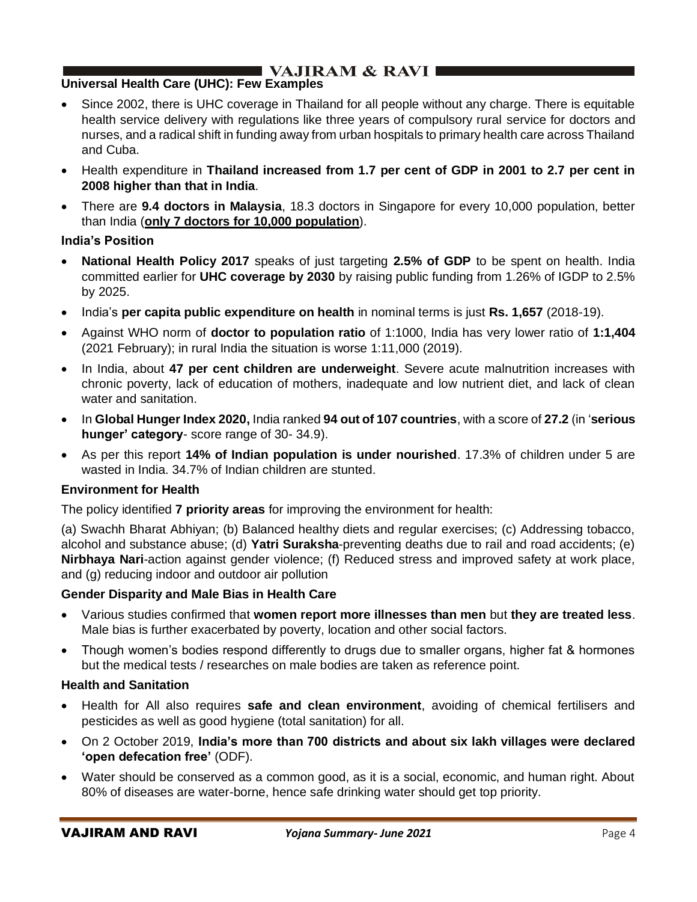# **Universal Health Care (UHC): Few Examples**

- Since 2002, there is UHC coverage in Thailand for all people without any charge. There is equitable health service delivery with regulations like three years of compulsory rural service for doctors and nurses, and a radical shift in funding away from urban hospitals to primary health care across Thailand and Cuba.
- Health expenditure in **Thailand increased from 1.7 per cent of GDP in 2001 to 2.7 per cent in 2008 higher than that in India**.
- There are **9.4 doctors in Malaysia**, 18.3 doctors in Singapore for every 10,000 population, better than India (**only 7 doctors for 10,000 population**).

### **India's Position**

- **National Health Policy 2017** speaks of just targeting **2.5% of GDP** to be spent on health. India committed earlier for **UHC coverage by 2030** by raising public funding from 1.26% of IGDP to 2.5% by 2025.
- India's **per capita public expenditure on health** in nominal terms is just **Rs. 1,657** (2018-19).
- Against WHO norm of **doctor to population ratio** of 1:1000, India has very lower ratio of **1:1,404** (2021 February); in rural India the situation is worse 1:11,000 (2019).
- In India, about **47 per cent children are underweight**. Severe acute malnutrition increases with chronic poverty, lack of education of mothers, inadequate and low nutrient diet, and lack of clean water and sanitation.
- In **Global Hunger Index 2020,** India ranked **94 out of 107 countries**, with a score of **27.2** (in '**serious hunger' category**- score range of 30- 34.9).
- As per this report **14% of Indian population is under nourished**. 17.3% of children under 5 are wasted in India. 34.7% of Indian children are stunted.

### **Environment for Health**

The policy identified **7 priority areas** for improving the environment for health:

(a) Swachh Bharat Abhiyan; (b) Balanced healthy diets and regular exercises; (c) Addressing tobacco, alcohol and substance abuse; (d) **Yatri Suraksha**-preventing deaths due to rail and road accidents; (e) **Nirbhaya Nari**-action against gender violence; (f) Reduced stress and improved safety at work place, and (g) reducing indoor and outdoor air pollution

### **Gender Disparity and Male Bias in Health Care**

- Various studies confirmed that **women report more illnesses than men** but **they are treated less**. Male bias is further exacerbated by poverty, location and other social factors.
- Though women's bodies respond differently to drugs due to smaller organs, higher fat & hormones but the medical tests / researches on male bodies are taken as reference point.

### **Health and Sanitation**

- Health for All also requires **safe and clean environment**, avoiding of chemical fertilisers and pesticides as well as good hygiene (total sanitation) for all.
- On 2 October 2019, **India's more than 700 districts and about six lakh villages were declared 'open defecation free'** (ODF).
- Water should be conserved as a common good, as it is a social, economic, and human right. About 80% of diseases are water-borne, hence safe drinking water should get top priority.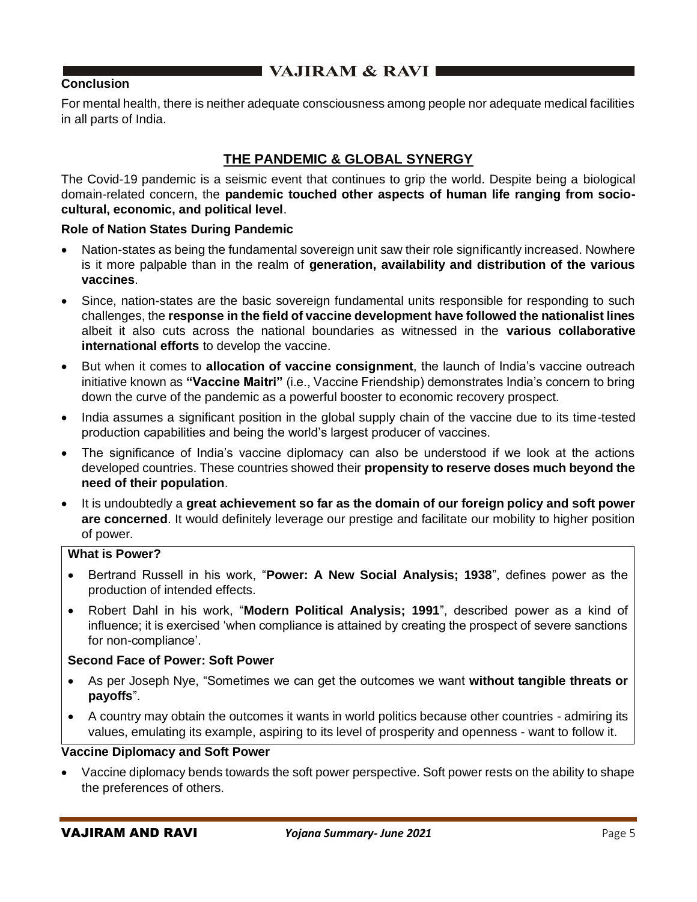# **Conclusion**

For mental health, there is neither adequate consciousness among people nor adequate medical facilities in all parts of India.

# **THE PANDEMIC & GLOBAL SYNERGY**

The Covid-19 pandemic is a seismic event that continues to grip the world. Despite being a biological domain-related concern, the **pandemic touched other aspects of human life ranging from sociocultural, economic, and political level**.

### **Role of Nation States During Pandemic**

- Nation-states as being the fundamental sovereign unit saw their role significantly increased. Nowhere is it more palpable than in the realm of **generation, availability and distribution of the various vaccines**.
- Since, nation-states are the basic sovereign fundamental units responsible for responding to such challenges, the **response in the field of vaccine development have followed the nationalist lines** albeit it also cuts across the national boundaries as witnessed in the **various collaborative international efforts** to develop the vaccine.
- But when it comes to **allocation of vaccine consignment**, the launch of India's vaccine outreach initiative known as **"Vaccine Maitri"** (i.e., Vaccine Friendship) demonstrates India's concern to bring down the curve of the pandemic as a powerful booster to economic recovery prospect.
- India assumes a significant position in the global supply chain of the vaccine due to its time-tested production capabilities and being the world's largest producer of vaccines.
- The significance of India's vaccine diplomacy can also be understood if we look at the actions developed countries. These countries showed their **propensity to reserve doses much beyond the need of their population**.
- It is undoubtedly a **great achievement so far as the domain of our foreign policy and soft power are concerned**. It would definitely leverage our prestige and facilitate our mobility to higher position of power.

### **What is Power?**

- Bertrand Russell in his work, "**Power: A New Social Analysis; 1938**", defines power as the production of intended effects.
- Robert Dahl in his work, "**Modern Political Analysis; 1991**", described power as a kind of influence; it is exercised 'when compliance is attained by creating the prospect of severe sanctions for non-compliance'.

#### **Second Face of Power: Soft Power**

- As per Joseph Nye, "Sometimes we can get the outcomes we want **without tangible threats or payoffs**".
- A country may obtain the outcomes it wants in world politics because other countries admiring its values, emulating its example, aspiring to its level of prosperity and openness - want to follow it.

### **Vaccine Diplomacy and Soft Power**

• Vaccine diplomacy bends towards the soft power perspective. Soft power rests on the ability to shape the preferences of others.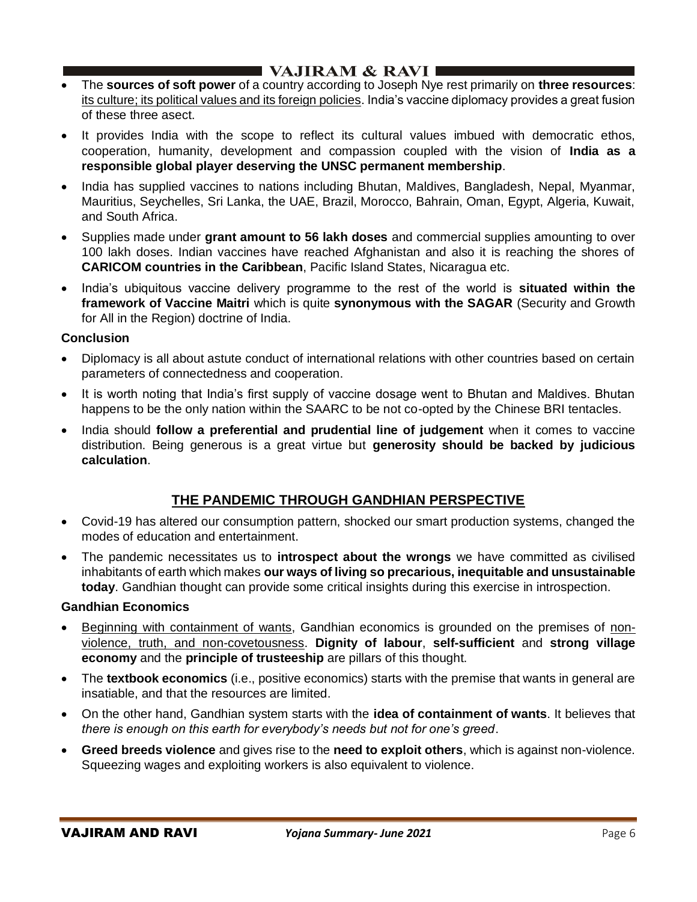# **I** VAJIRAM & RAVI **E**

- The **sources of soft power** of a country according to Joseph Nye rest primarily on **three resources**: its culture; its political values and its foreign policies. India's vaccine diplomacy provides a great fusion of these three asect.
- It provides India with the scope to reflect its cultural values imbued with democratic ethos, cooperation, humanity, development and compassion coupled with the vision of **India as a responsible global player deserving the UNSC permanent membership**.
- India has supplied vaccines to nations including Bhutan, Maldives, Bangladesh, Nepal, Myanmar, Mauritius, Seychelles, Sri Lanka, the UAE, Brazil, Morocco, Bahrain, Oman, Egypt, Algeria, Kuwait, and South Africa.
- Supplies made under **grant amount to 56 lakh doses** and commercial supplies amounting to over 100 lakh doses. Indian vaccines have reached Afghanistan and also it is reaching the shores of **CARICOM countries in the Caribbean**, Pacific Island States, Nicaragua etc.
- India's ubiquitous vaccine delivery programme to the rest of the world is **situated within the framework of Vaccine Maitri** which is quite **synonymous with the SAGAR** (Security and Growth for All in the Region) doctrine of India.

### **Conclusion**

- Diplomacy is all about astute conduct of international relations with other countries based on certain parameters of connectedness and cooperation.
- It is worth noting that India's first supply of vaccine dosage went to Bhutan and Maldives. Bhutan happens to be the only nation within the SAARC to be not co-opted by the Chinese BRI tentacles.
- India should **follow a preferential and prudential line of judgement** when it comes to vaccine distribution. Being generous is a great virtue but **generosity should be backed by judicious calculation**.

# **THE PANDEMIC THROUGH GANDHIAN PERSPECTIVE**

- Covid-19 has altered our consumption pattern, shocked our smart production systems, changed the modes of education and entertainment.
- The pandemic necessitates us to **introspect about the wrongs** we have committed as civilised inhabitants of earth which makes **our ways of living so precarious, inequitable and unsustainable today**. Gandhian thought can provide some critical insights during this exercise in introspection.

#### **Gandhian Economics**

- Beginning with containment of wants, Gandhian economics is grounded on the premises of nonviolence, truth, and non-covetousness. **Dignity of labour**, **self-sufficient** and **strong village economy** and the **principle of trusteeship** are pillars of this thought.
- The **textbook economics** (i.e., positive economics) starts with the premise that wants in general are insatiable, and that the resources are limited.
- On the other hand, Gandhian system starts with the **idea of containment of wants**. It believes that *there is enough on this earth for everybody's needs but not for one's greed*.
- **Greed breeds violence** and gives rise to the **need to exploit others**, which is against non-violence. Squeezing wages and exploiting workers is also equivalent to violence.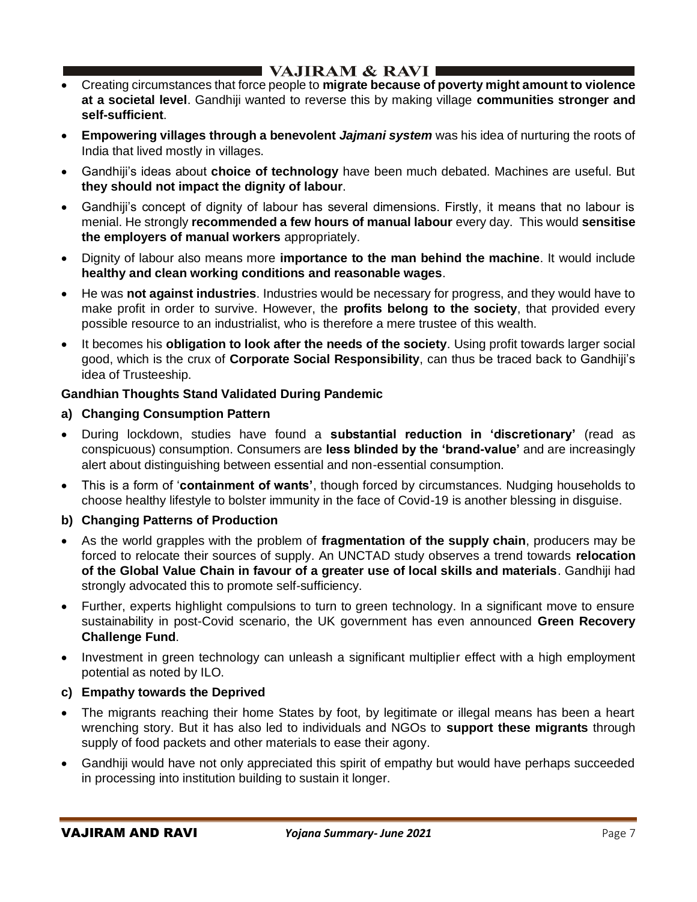# ■ VAJIRAM & RAVI I

- Creating circumstances that force people to **migrate because of poverty might amount to violence at a societal level**. Gandhiji wanted to reverse this by making village **communities stronger and self-sufficient**.
- **Empowering villages through a benevolent** *Jajmani system* was his idea of nurturing the roots of India that lived mostly in villages.
- Gandhiji's ideas about **choice of technology** have been much debated. Machines are useful. But **they should not impact the dignity of labour**.
- Gandhiji's concept of dignity of labour has several dimensions. Firstly, it means that no labour is menial. He strongly **recommended a few hours of manual labour** every day. This would **sensitise the employers of manual workers** appropriately.
- Dignity of labour also means more **importance to the man behind the machine**. It would include **healthy and clean working conditions and reasonable wages**.
- He was **not against industries**. Industries would be necessary for progress, and they would have to make profit in order to survive. However, the **profits belong to the society**, that provided every possible resource to an industrialist, who is therefore a mere trustee of this wealth.
- It becomes his **obligation to look after the needs of the society**. Using profit towards larger social good, which is the crux of **Corporate Social Responsibility**, can thus be traced back to Gandhiji's idea of Trusteeship.

### **Gandhian Thoughts Stand Validated During Pandemic**

- **a) Changing Consumption Pattern**
- During lockdown, studies have found a **substantial reduction in 'discretionary'** (read as conspicuous) consumption. Consumers are **less blinded by the 'brand-value'** and are increasingly alert about distinguishing between essential and non-essential consumption.
- This is a form of '**containment of wants'**, though forced by circumstances. Nudging households to choose healthy lifestyle to bolster immunity in the face of Covid-19 is another blessing in disguise.
- **b) Changing Patterns of Production**
- As the world grapples with the problem of **fragmentation of the supply chain**, producers may be forced to relocate their sources of supply. An UNCTAD study observes a trend towards **relocation of the Global Value Chain in favour of a greater use of local skills and materials**. Gandhiji had strongly advocated this to promote self-sufficiency.
- Further, experts highlight compulsions to turn to green technology. In a significant move to ensure sustainability in post-Covid scenario, the UK government has even announced **Green Recovery Challenge Fund**.
- Investment in green technology can unleash a significant multiplier effect with a high employment potential as noted by ILO.
- **c) Empathy towards the Deprived**
- The migrants reaching their home States by foot, by legitimate or illegal means has been a heart wrenching story. But it has also led to individuals and NGOs to **support these migrants** through supply of food packets and other materials to ease their agony.
- Gandhiji would have not only appreciated this spirit of empathy but would have perhaps succeeded in processing into institution building to sustain it longer.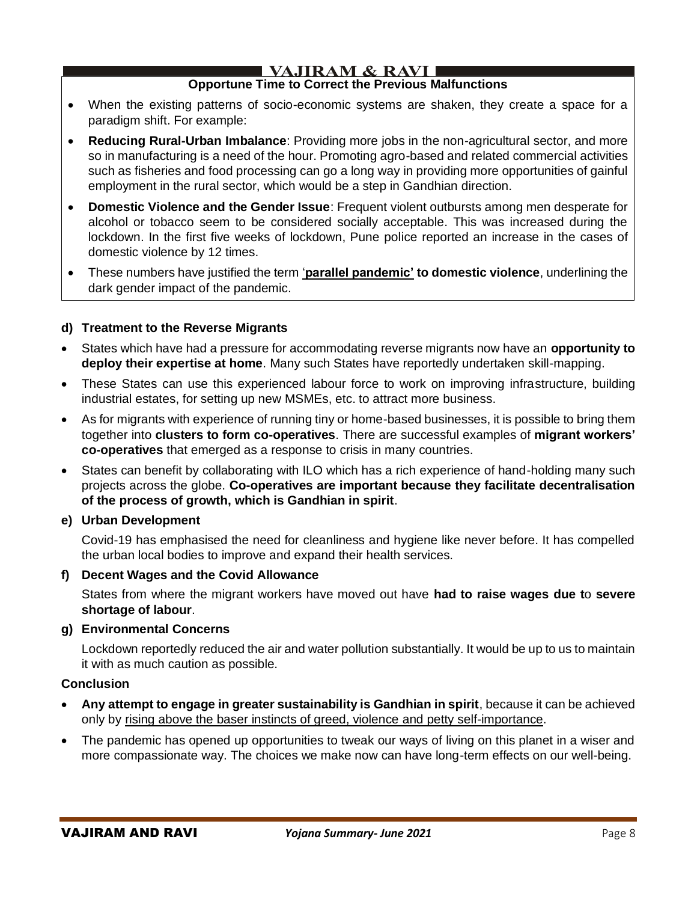# **VAJIRAM & RAVI**

# **Opportune Time to Correct the Previous Malfunctions**

- When the existing patterns of socio-economic systems are shaken, they create a space for a paradigm shift. For example:
- **Reducing Rural-Urban Imbalance**: Providing more jobs in the non-agricultural sector, and more so in manufacturing is a need of the hour. Promoting agro-based and related commercial activities such as fisheries and food processing can go a long way in providing more opportunities of gainful employment in the rural sector, which would be a step in Gandhian direction.
- **Domestic Violence and the Gender Issue**: Frequent violent outbursts among men desperate for alcohol or tobacco seem to be considered socially acceptable. This was increased during the lockdown. In the first five weeks of lockdown, Pune police reported an increase in the cases of domestic violence by 12 times.
- These numbers have justified the term '**parallel pandemic' to domestic violence**, underlining the dark gender impact of the pandemic.

### **d) Treatment to the Reverse Migrants**

- States which have had a pressure for accommodating reverse migrants now have an **opportunity to deploy their expertise at home**. Many such States have reportedly undertaken skill-mapping.
- These States can use this experienced labour force to work on improving infrastructure, building industrial estates, for setting up new MSMEs, etc. to attract more business.
- As for migrants with experience of running tiny or home-based businesses, it is possible to bring them together into **clusters to form co-operatives**. There are successful examples of **migrant workers' co-operatives** that emerged as a response to crisis in many countries.
- States can benefit by collaborating with ILO which has a rich experience of hand-holding many such projects across the globe. **Co-operatives are important because they facilitate decentralisation of the process of growth, which is Gandhian in spirit**.

### **e) Urban Development**

Covid-19 has emphasised the need for cleanliness and hygiene like never before. It has compelled the urban local bodies to improve and expand their health services.

### **f) Decent Wages and the Covid Allowance**

States from where the migrant workers have moved out have **had to raise wages due t**o **severe shortage of labour**.

### **g) Environmental Concerns**

Lockdown reportedly reduced the air and water pollution substantially. It would be up to us to maintain it with as much caution as possible.

# **Conclusion**

- **Any attempt to engage in greater sustainability is Gandhian in spirit**, because it can be achieved only by rising above the baser instincts of greed, violence and petty self-importance.
- The pandemic has opened up opportunities to tweak our ways of living on this planet in a wiser and more compassionate way. The choices we make now can have long-term effects on our well-being.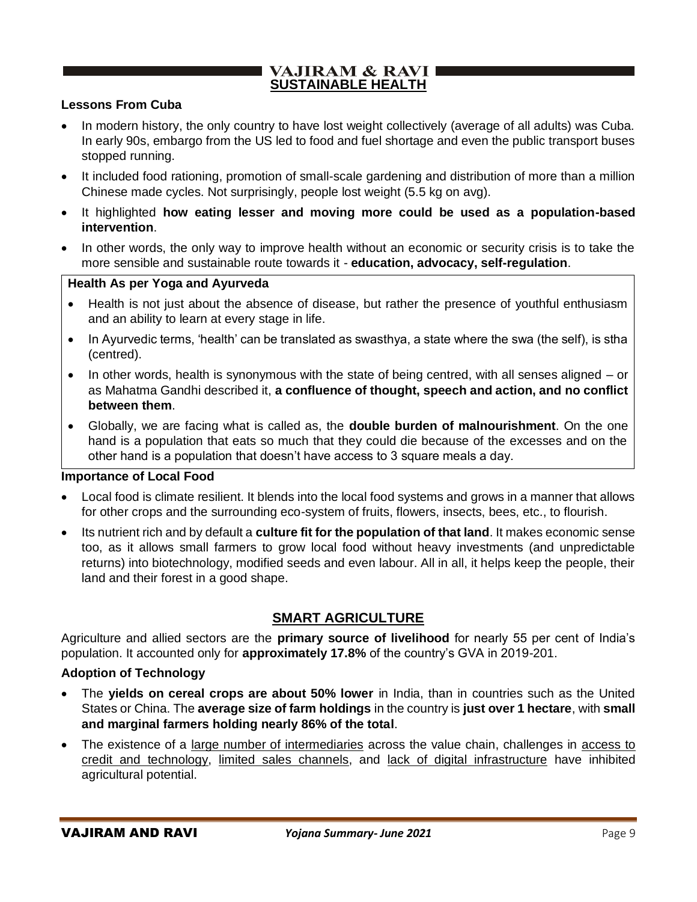### **VAJIRAM & RAVI I SUSTAINABLE HEALTH**

#### **Lessons From Cuba**

- In modern history, the only country to have lost weight collectively (average of all adults) was Cuba. In early 90s, embargo from the US led to food and fuel shortage and even the public transport buses stopped running.
- It included food rationing, promotion of small-scale gardening and distribution of more than a million Chinese made cycles. Not surprisingly, people lost weight (5.5 kg on avg).
- It highlighted **how eating lesser and moving more could be used as a population-based intervention**.
- In other words, the only way to improve health without an economic or security crisis is to take the more sensible and sustainable route towards it - **education, advocacy, self-regulation**.

#### **Health As per Yoga and Ayurveda**

- Health is not just about the absence of disease, but rather the presence of youthful enthusiasm and an ability to learn at every stage in life.
- In Ayurvedic terms, 'health' can be translated as swasthya, a state where the swa (the self), is stha (centred).
- In other words, health is synonymous with the state of being centred, with all senses aligned or as Mahatma Gandhi described it, **a confluence of thought, speech and action, and no conflict between them**.
- Globally, we are facing what is called as, the **double burden of malnourishment**. On the one hand is a population that eats so much that they could die because of the excesses and on the other hand is a population that doesn't have access to 3 square meals a day.

#### **Importance of Local Food**

- Local food is climate resilient. It blends into the local food systems and grows in a manner that allows for other crops and the surrounding eco-system of fruits, flowers, insects, bees, etc., to flourish.
- Its nutrient rich and by default a **culture fit for the population of that land**. It makes economic sense too, as it allows small farmers to grow local food without heavy investments (and unpredictable returns) into biotechnology, modified seeds and even labour. All in all, it helps keep the people, their land and their forest in a good shape.

# **SMART AGRICULTURE**

Agriculture and allied sectors are the **primary source of livelihood** for nearly 55 per cent of India's population. It accounted only for **approximately 17.8%** of the country's GVA in 2019-201.

### **Adoption of Technology**

- The **yields on cereal crops are about 50% lower** in India, than in countries such as the United States or China. The **average size of farm holdings** in the country is **just over 1 hectare**, with **small and marginal farmers holding nearly 86% of the total**.
- The existence of a large number of intermediaries across the value chain, challenges in access to credit and technology, limited sales channels, and lack of digital infrastructure have inhibited agricultural potential.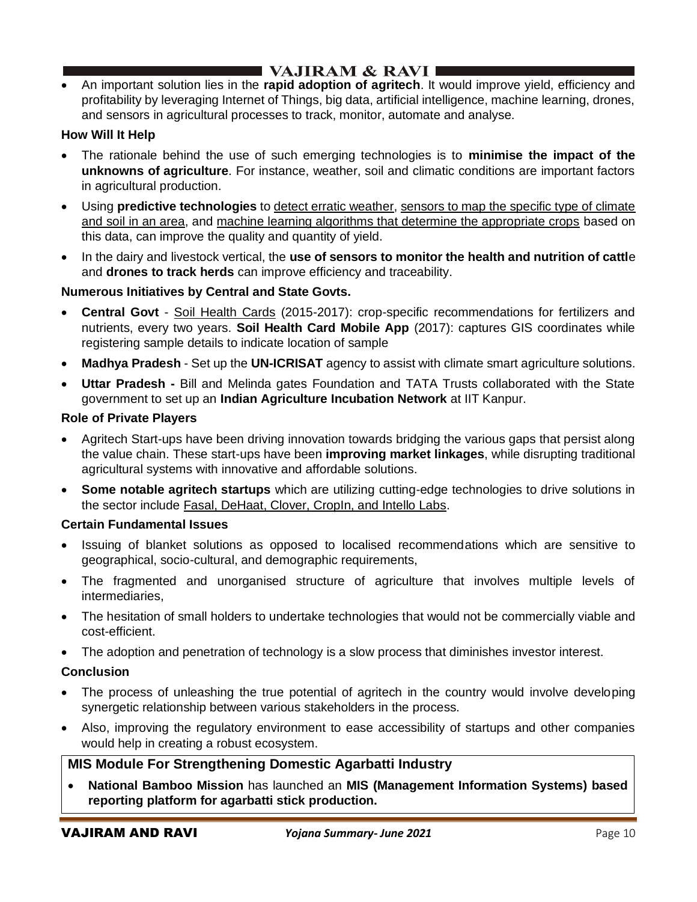• An important solution lies in the **rapid adoption of agritech**. It would improve yield, efficiency and profitability by leveraging Internet of Things, big data, artificial intelligence, machine learning, drones, and sensors in agricultural processes to track, monitor, automate and analyse.

### **How Will It Help**

- The rationale behind the use of such emerging technologies is to **minimise the impact of the unknowns of agriculture**. For instance, weather, soil and climatic conditions are important factors in agricultural production.
- Using **predictive technologies** to detect erratic weather, sensors to map the specific type of climate and soil in an area, and machine learning algorithms that determine the appropriate crops based on this data, can improve the quality and quantity of yield.
- In the dairy and livestock vertical, the **use of sensors to monitor the health and nutrition of cattl**e and **drones to track herds** can improve efficiency and traceability.

### **Numerous Initiatives by Central and State Govts.**

- **Central Govt** Soil Health Cards (2015-2017): crop-specific recommendations for fertilizers and nutrients, every two years. **Soil Health Card Mobile App** (2017): captures GIS coordinates while registering sample details to indicate location of sample
- **Madhya Pradesh** Set up the **UN-ICRISAT** agency to assist with climate smart agriculture solutions.
- **Uttar Pradesh -** Bill and Melinda gates Foundation and TATA Trusts collaborated with the State government to set up an **Indian Agriculture Incubation Network** at IIT Kanpur.

### **Role of Private Players**

- Agritech Start-ups have been driving innovation towards bridging the various gaps that persist along the value chain. These start-ups have been **improving market linkages**, while disrupting traditional agricultural systems with innovative and affordable solutions.
- **Some notable agritech startups** which are utilizing cutting-edge technologies to drive solutions in the sector include Fasal, DeHaat, Clover, CropIn, and Intello Labs.

### **Certain Fundamental Issues**

- Issuing of blanket solutions as opposed to localised recommendations which are sensitive to geographical, socio-cultural, and demographic requirements,
- The fragmented and unorganised structure of agriculture that involves multiple levels of intermediaries,
- The hesitation of small holders to undertake technologies that would not be commercially viable and cost-efficient.
- The adoption and penetration of technology is a slow process that diminishes investor interest.

### **Conclusion**

- The process of unleashing the true potential of agritech in the country would involve developing synergetic relationship between various stakeholders in the process.
- Also, improving the regulatory environment to ease accessibility of startups and other companies would help in creating a robust ecosystem.

# **MIS Module For Strengthening Domestic Agarbatti Industry**

• **National Bamboo Mission** has launched an **MIS (Management Information Systems) based reporting platform for agarbatti stick production.**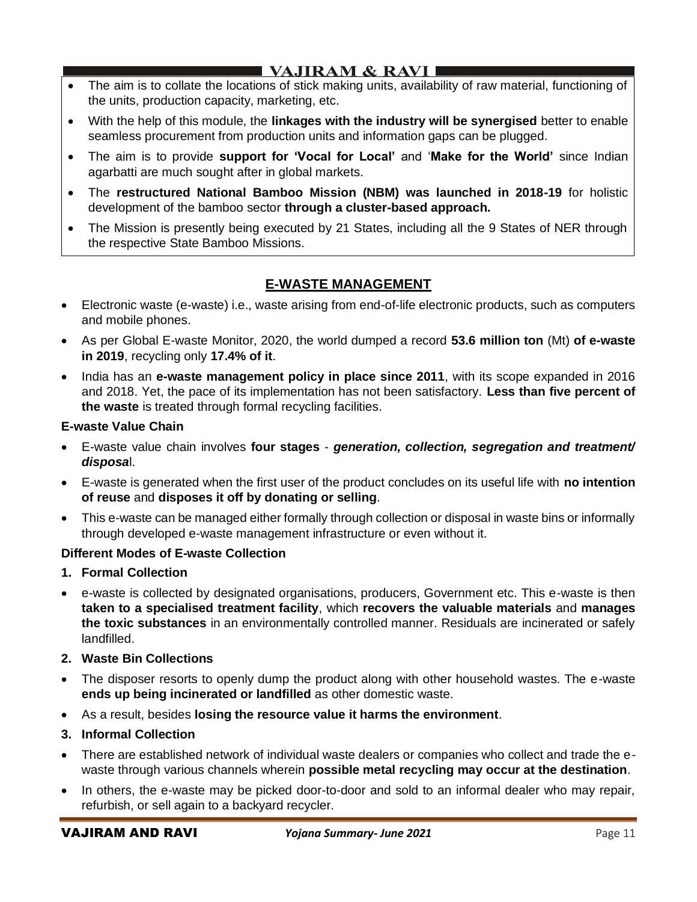# I VAJIRAM & RAVI ∎

- The aim is to collate the locations of stick making units, availability of raw material, functioning of the units, production capacity, marketing, etc.
- With the help of this module, the **linkages with the industry will be synergised** better to enable seamless procurement from production units and information gaps can be plugged.
- The aim is to provide **support for 'Vocal for Local'** and '**Make for the World'** since Indian agarbatti are much sought after in global markets.
- The **restructured National Bamboo Mission (NBM) was launched in 2018-19** for holistic development of the bamboo sector **through a cluster-based approach.**
- The Mission is presently being executed by 21 States, including all the 9 States of NER through the respective State Bamboo Missions.

# **E-WASTE MANAGEMENT**

- Electronic waste (e-waste) i.e., waste arising from end-of-life electronic products, such as computers and mobile phones.
- As per Global E-waste Monitor, 2020, the world dumped a record **53.6 million ton** (Mt) **of e-waste in 2019**, recycling only **17.4% of it**.
- India has an **e-waste management policy in place since 2011**, with its scope expanded in 2016 and 2018. Yet, the pace of its implementation has not been satisfactory. **Less than five percent of the waste** is treated through formal recycling facilities.

### **E-waste Value Chain**

- E-waste value chain involves **four stages** *generation, collection, segregation and treatment/ disposa*l.
- E-waste is generated when the first user of the product concludes on its useful life with **no intention of reuse** and **disposes it off by donating or selling**.
- This e-waste can be managed either formally through collection or disposal in waste bins or informally through developed e-waste management infrastructure or even without it.

# **Different Modes of E-waste Collection**

- **1. Formal Collection**
- e-waste is collected by designated organisations, producers, Government etc. This e-waste is then **taken to a specialised treatment facility**, which **recovers the valuable materials** and **manages the toxic substances** in an environmentally controlled manner. Residuals are incinerated or safely landfilled.
- **2. Waste Bin Collections**
- The disposer resorts to openly dump the product along with other household wastes. The e-waste **ends up being incinerated or landfilled** as other domestic waste.
- As a result, besides **losing the resource value it harms the environment**.
- **3. Informal Collection**
- There are established network of individual waste dealers or companies who collect and trade the ewaste through various channels wherein **possible metal recycling may occur at the destination**.
- In others, the e-waste may be picked door-to-door and sold to an informal dealer who may repair, refurbish, or sell again to a backyard recycler.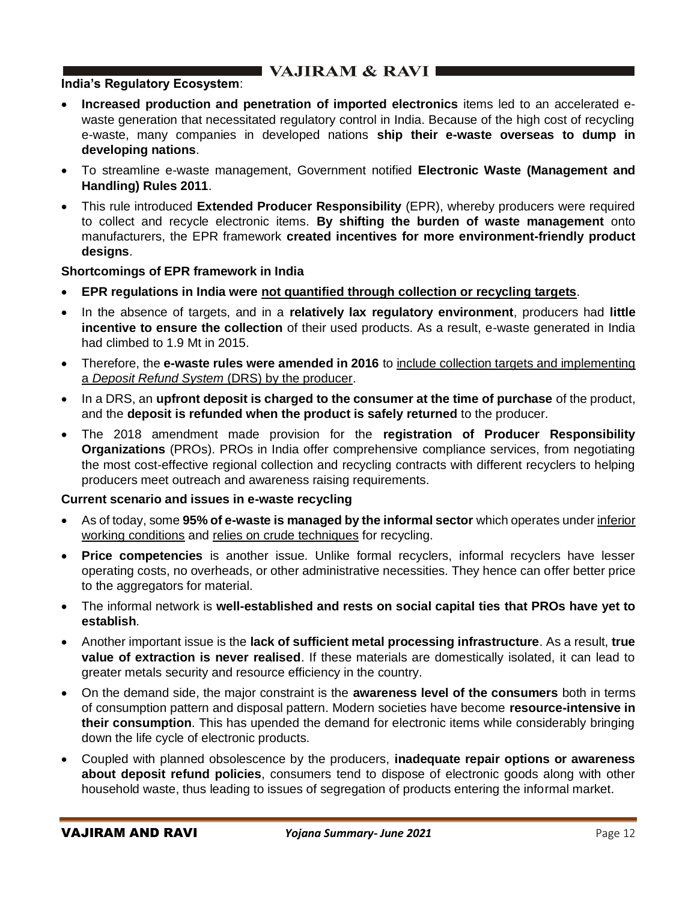### **India's Regulatory Ecosystem**:

- **Increased production and penetration of imported electronics** items led to an accelerated ewaste generation that necessitated regulatory control in India. Because of the high cost of recycling e-waste, many companies in developed nations **ship their e-waste overseas to dump in developing nations**.
- To streamline e-waste management, Government notified **Electronic Waste (Management and Handling) Rules 2011**.
- This rule introduced **Extended Producer Responsibility** (EPR), whereby producers were required to collect and recycle electronic items. **By shifting the burden of waste management** onto manufacturers, the EPR framework **created incentives for more environment-friendly product designs**.

#### **Shortcomings of EPR framework in India**

- **EPR regulations in India were not quantified through collection or recycling targets**.
- In the absence of targets, and in a **relatively lax regulatory environment**, producers had **little incentive to ensure the collection** of their used products. As a result, e-waste generated in India had climbed to 1.9 Mt in 2015.
- Therefore, the **e-waste rules were amended in 2016** to include collection targets and implementing a *Deposit Refund System* (DRS) by the producer.
- In a DRS, an **upfront deposit is charged to the consumer at the time of purchase** of the product, and the **deposit is refunded when the product is safely returned** to the producer.
- The 2018 amendment made provision for the **registration of Producer Responsibility Organizations** (PROs). PROs in India offer comprehensive compliance services, from negotiating the most cost-effective regional collection and recycling contracts with different recyclers to helping producers meet outreach and awareness raising requirements.

### **Current scenario and issues in e-waste recycling**

- As of today, some **95% of e-waste is managed by the informal sector** which operates under inferior working conditions and relies on crude techniques for recycling.
- **Price competencies** is another issue. Unlike formal recyclers, informal recyclers have lesser operating costs, no overheads, or other administrative necessities. They hence can offer better price to the aggregators for material.
- The informal network is **well-established and rests on social capital ties that PROs have yet to establish**.
- Another important issue is the **lack of sufficient metal processing infrastructure**. As a result, **true value of extraction is never realised**. If these materials are domestically isolated, it can lead to greater metals security and resource efficiency in the country.
- On the demand side, the major constraint is the **awareness level of the consumers** both in terms of consumption pattern and disposal pattern. Modern societies have become **resource-intensive in their consumption**. This has upended the demand for electronic items while considerably bringing down the life cycle of electronic products.
- Coupled with planned obsolescence by the producers, **inadequate repair options or awareness about deposit refund policies**, consumers tend to dispose of electronic goods along with other household waste, thus leading to issues of segregation of products entering the informal market.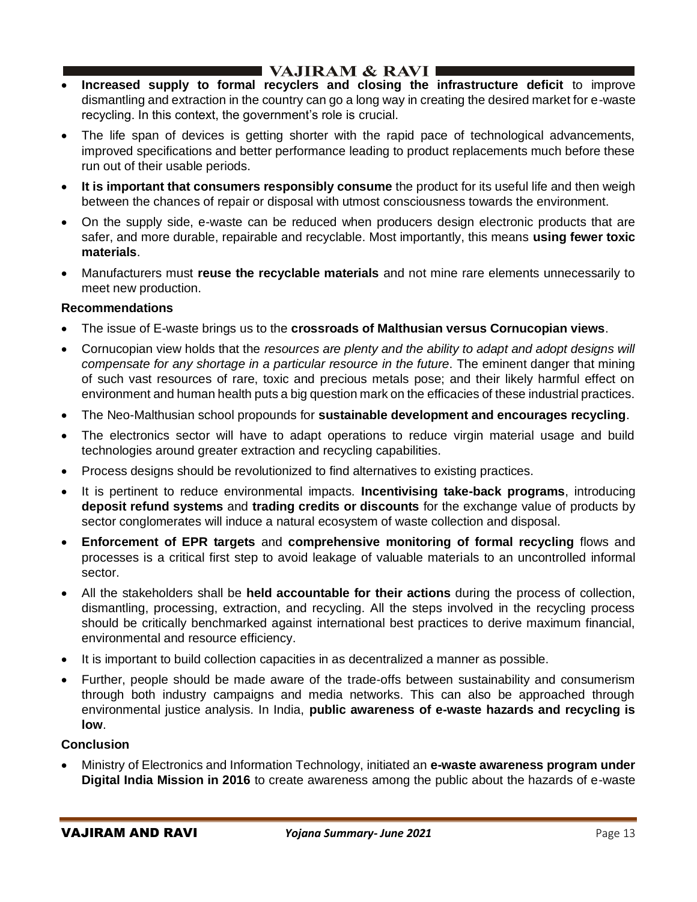# I VAJIRAM & RAVI ∎

- **Increased supply to formal recyclers and closing the infrastructure deficit** to improve dismantling and extraction in the country can go a long way in creating the desired market for e-waste recycling. In this context, the government's role is crucial.
- The life span of devices is getting shorter with the rapid pace of technological advancements, improved specifications and better performance leading to product replacements much before these run out of their usable periods.
- **It is important that consumers responsibly consume** the product for its useful life and then weigh between the chances of repair or disposal with utmost consciousness towards the environment.
- On the supply side, e-waste can be reduced when producers design electronic products that are safer, and more durable, repairable and recyclable. Most importantly, this means **using fewer toxic materials**.
- Manufacturers must **reuse the recyclable materials** and not mine rare elements unnecessarily to meet new production.

### **Recommendations**

- The issue of E-waste brings us to the **crossroads of Malthusian versus Cornucopian views**.
- Cornucopian view holds that the *resources are plenty and the ability to adapt and adopt designs will compensate for any shortage in a particular resource in the future*. The eminent danger that mining of such vast resources of rare, toxic and precious metals pose; and their likely harmful effect on environment and human health puts a big question mark on the efficacies of these industrial practices.
- The Neo-Malthusian school propounds for **sustainable development and encourages recycling**.
- The electronics sector will have to adapt operations to reduce virgin material usage and build technologies around greater extraction and recycling capabilities.
- Process designs should be revolutionized to find alternatives to existing practices.
- It is pertinent to reduce environmental impacts. **Incentivising take-back programs**, introducing **deposit refund systems** and **trading credits or discounts** for the exchange value of products by sector conglomerates will induce a natural ecosystem of waste collection and disposal.
- **Enforcement of EPR targets** and **comprehensive monitoring of formal recycling** flows and processes is a critical first step to avoid leakage of valuable materials to an uncontrolled informal sector.
- All the stakeholders shall be **held accountable for their actions** during the process of collection, dismantling, processing, extraction, and recycling. All the steps involved in the recycling process should be critically benchmarked against international best practices to derive maximum financial, environmental and resource efficiency.
- It is important to build collection capacities in as decentralized a manner as possible.
- Further, people should be made aware of the trade-offs between sustainability and consumerism through both industry campaigns and media networks. This can also be approached through environmental justice analysis. In India, **public awareness of e-waste hazards and recycling is low**.

### **Conclusion**

• Ministry of Electronics and Information Technology, initiated an **e-waste awareness program under Digital India Mission in 2016** to create awareness among the public about the hazards of e-waste